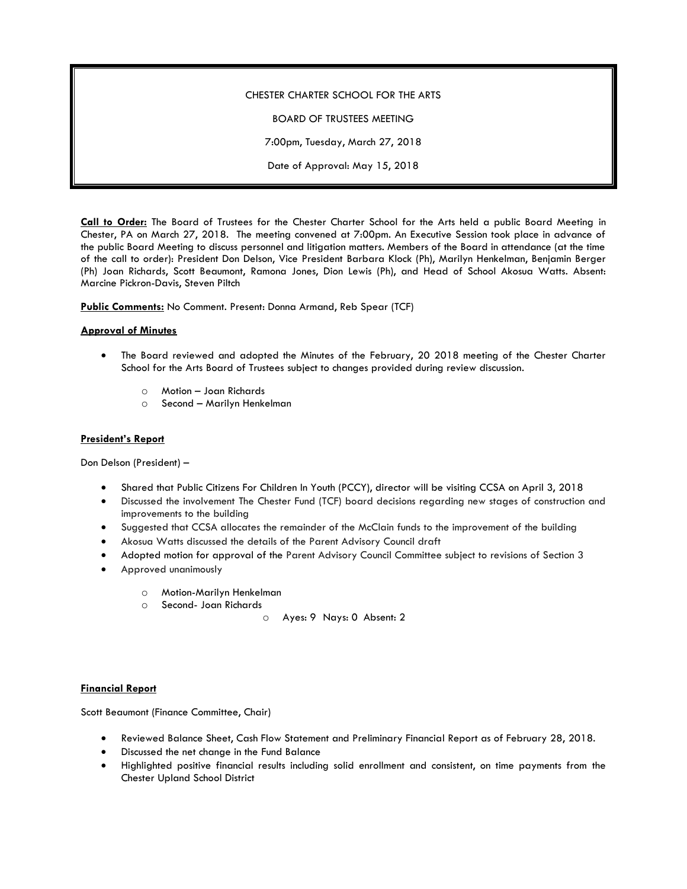## CHESTER CHARTER SCHOOL FOR THE ARTS

BOARD OF TRUSTEES MEETING

7:00pm, Tuesday, March 27, 2018

Date of Approval: May 15, 2018

**Call to Order:** The Board of Trustees for the Chester Charter School for the Arts held a public Board Meeting in Chester, PA on March 27, 2018. The meeting convened at 7:00pm. An Executive Session took place in advance of the public Board Meeting to discuss personnel and litigation matters. Members of the Board in attendance (at the time of the call to order): President Don Delson, Vice President Barbara Klock (Ph), Marilyn Henkelman, Benjamin Berger (Ph) Joan Richards, Scott Beaumont, Ramona Jones, Dion Lewis (Ph), and Head of School Akosua Watts. Absent: Marcine Pickron-Davis, Steven Piltch

**Public Comments:** No Comment. Present: Donna Armand, Reb Spear (TCF)

#### **Approval of Minutes**

- The Board reviewed and adopted the Minutes of the February, 20 2018 meeting of the Chester Charter School for the Arts Board of Trustees subject to changes provided during review discussion.
	- o Motion Joan Richards
	- o Second Marilyn Henkelman

### **President's Report**

Don Delson (President) –

- Shared that Public Citizens For Children In Youth (PCCY), director will be visiting CCSA on April 3, 2018
- Discussed the involvement The Chester Fund (TCF) board decisions regarding new stages of construction and improvements to the building
- Suggested that CCSA allocates the remainder of the McClain funds to the improvement of the building
- Akosua Watts discussed the details of the Parent Advisory Council draft
- Adopted motion for approval of the Parent Advisory Council Committee subject to revisions of Section 3
- Approved unanimously
	- o Motion-Marilyn Henkelman
	- o Second- Joan Richards

o Ayes: 9 Nays: 0 Absent: 2

# **Financial Report**

Scott Beaumont (Finance Committee, Chair)

- Reviewed Balance Sheet, Cash Flow Statement and Preliminary Financial Report as of February 28, 2018.
- Discussed the net change in the Fund Balance
- Highlighted positive financial results including solid enrollment and consistent, on time payments from the Chester Upland School District